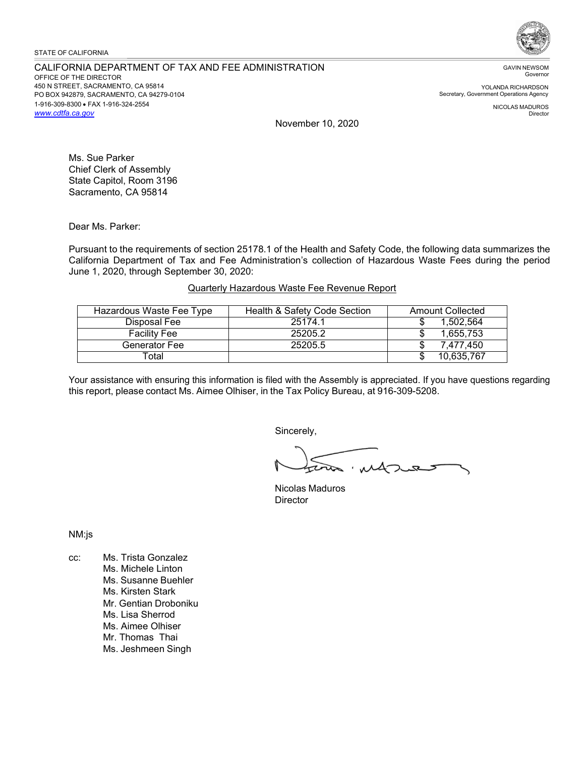### STATE OF CALIFORNIA

### CALIFORNIA DEPARTMENT OF TAX AND FEE ADMINISTRATION OFFICE OF THE DIRECTOR 450 N STREET, SACRAMENTO, CA 95814 PO BOX 942879, SACRAMENTO, CA 94279-0104 1-916-309-8300 • FAX 1-916-324-2554 *[www.cdtfa.ca.gov](http://www.cdtfa.ca.gov/)*



GAVIN NEWSOM Governor

YOLANDA RICHARDSON Secretary, Government Operations Agency

> NICOLAS MADUROS Director

November 10, 2020

Ms. Sue Parker Chief Clerk of Assembly State Capitol, Room 3196 Sacramento, CA 95814

Dear Ms. Parker:

Pursuant to the requirements of section 25178.1 of the Health and Safety Code, the following data summarizes the California Department of Tax and Fee Administration's collection of Hazardous Waste Fees during the period June 1, 2020, through September 30, 2020:

# Quarterly Hazardous Waste Fee Revenue Report

| Hazardous Waste Fee Type | Health & Safety Code Section | <b>Amount Collected</b> |
|--------------------------|------------------------------|-------------------------|
| Disposal Fee             | 25174.1                      | 1.502.564               |
| <b>Facility Fee</b>      | 25205.2                      | 1,655,753               |
| Generator Fee            | 25205.5                      | 7.477.450               |
| Total                    |                              | 10,635,767              |

Your assistance with ensuring this information is filed with the Assembly is appreciated. If you have questions regarding this report, please contact Ms. Aimee Olhiser, in the Tax Policy Bureau, at 916-309-5208.

Sincerely,

Nicolas Maduros **Director** 

NM:js

cc: Ms. Trista Gonzalez Ms. Michele Linton Ms. Susanne Buehler Ms. Kirsten Stark Mr. Gentian Droboniku Ms. Lisa Sherrod Ms. Aimee Olhiser Mr. Thomas Thai Ms. Jeshmeen Singh